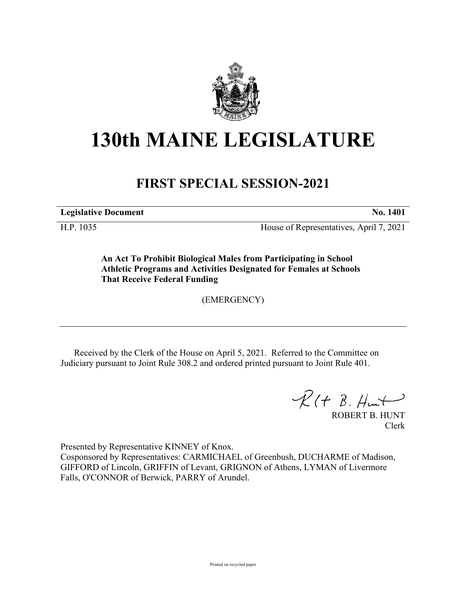

## **130th MAINE LEGISLATURE**

## **FIRST SPECIAL SESSION-2021**

**Legislative Document No. 1401**

H.P. 1035 House of Representatives, April 7, 2021

**An Act To Prohibit Biological Males from Participating in School Athletic Programs and Activities Designated for Females at Schools That Receive Federal Funding**

(EMERGENCY)

Received by the Clerk of the House on April 5, 2021. Referred to the Committee on Judiciary pursuant to Joint Rule 308.2 and ordered printed pursuant to Joint Rule 401.

 $R(H B. H<sub>un</sub>)$ 

ROBERT B. HUNT Clerk

Presented by Representative KINNEY of Knox.

Cosponsored by Representatives: CARMICHAEL of Greenbush, DUCHARME of Madison, GIFFORD of Lincoln, GRIFFIN of Levant, GRIGNON of Athens, LYMAN of Livermore Falls, O'CONNOR of Berwick, PARRY of Arundel.